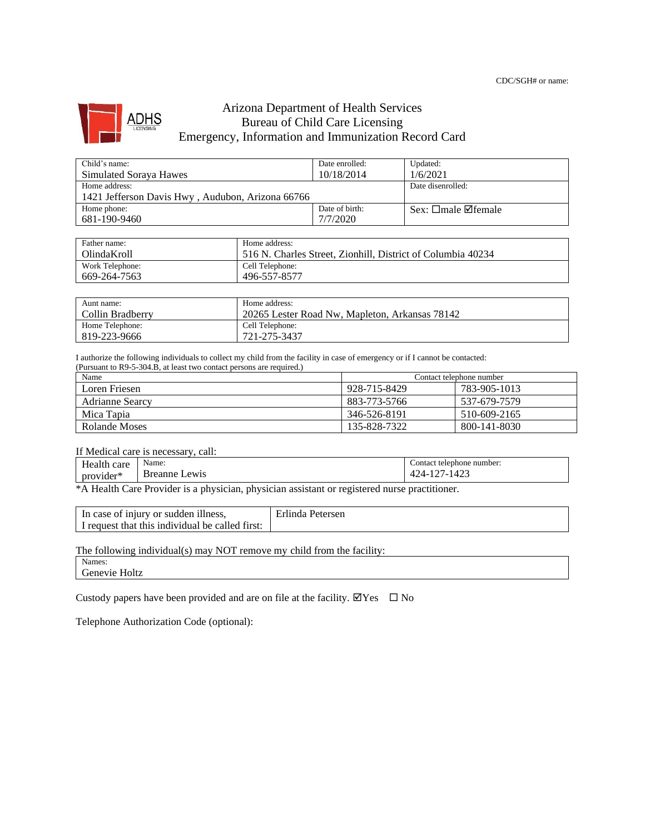

## Arizona Department of Health Services Bureau of Child Care Licensing Emergency, Information and Immunization Record Card

| Child's name:                                    | Date enrolled: | Updated:                       |
|--------------------------------------------------|----------------|--------------------------------|
| <b>Simulated Sorava Hawes</b>                    | 10/18/2014     | 1/6/2021                       |
| Home address:                                    |                | Date disenrolled:              |
| 1421 Jefferson Davis Hwy, Audubon, Arizona 66766 |                |                                |
| Home phone:                                      | Date of birth: | Sex: $\Box$ male $\Box$ female |
| 681-190-9460                                     | 7/7/2020       |                                |

| Father name:    | Home address:                                               |
|-----------------|-------------------------------------------------------------|
| OlindaKroll     | 516 N. Charles Street, Zionhill, District of Columbia 40234 |
| Work Telephone: | Cell Telephone:                                             |
| 669-264-7563    | 496-557-8577                                                |

| Aunt name:       | Home address:                                  |
|------------------|------------------------------------------------|
| Collin Bradberry | 20265 Lester Road Nw. Mapleton. Arkansas 78142 |
| Home Telephone:  | Cell Telephone:                                |
| 819-223-9666     | 721-275-3437                                   |

I authorize the following individuals to collect my child from the facility in case of emergency or if I cannot be contacted: (Pursuant to R9-5-304.B, at least two contact persons are required.)

| Name                   | Contact telephone number |              |
|------------------------|--------------------------|--------------|
| Loren Friesen          | 928-715-8429             | 783-905-1013 |
| <b>Adrianne Searcy</b> | 883-773-5766             | 537-679-7579 |
| Mica Tapia             | 346-526-8191             | 510-609-2165 |
| Rolande Moses          | 135-828-7322             | 800-141-8030 |

If Medical care is necessary, call:

| care                  | <b>AT</b>                                    | number:                |
|-----------------------|----------------------------------------------|------------------------|
| пеанн                 |                                              | contact                |
| .                     | Name:                                        | telephone              |
| -16<br>ovider*<br>pro | 'reann≙<br>.ewis<br>ne.<br>ъ.<br>ווחו<br>___ | $\sqrt{2}$<br>z<br>___ |

\*A Health Care Provider is a physician, physician assistant or registered nurse practitioner.

| In case of injury or sudden illness,            | Erlinda Petersen |
|-------------------------------------------------|------------------|
| I request that this individual be called first: |                  |

The following individual(s) may NOT remove my child from the facility:

Names:

Genevie Holtz

Custody papers have been provided and are on file at the facility.  $\Box$  Yes  $\Box$  No

Telephone Authorization Code (optional):